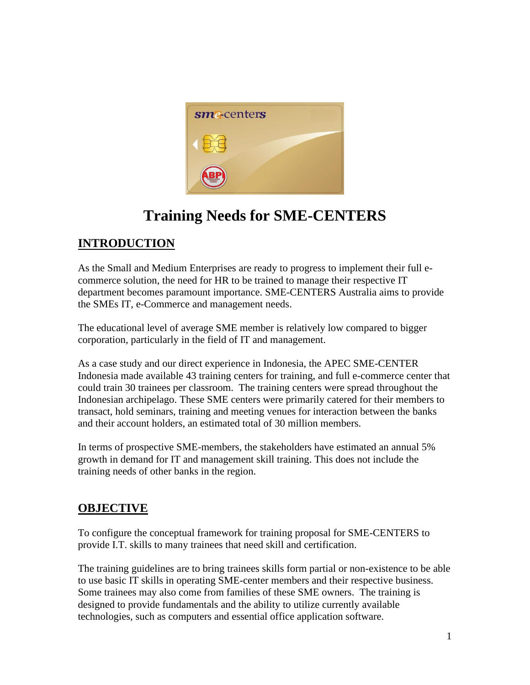

# **Training Needs for SME-CENTERS**

# **INTRODUCTION**

As the Small and Medium Enterprises are ready to progress to implement their full ecommerce solution, the need for HR to be trained to manage their respective IT department becomes paramount importance. SME-CENTERS Australia aims to provide the SMEs IT, e-Commerce and management needs.

The educational level of average SME member is relatively low compared to bigger corporation, particularly in the field of IT and management.

As a case study and our direct experience in Indonesia, the APEC SME-CENTER Indonesia made available 43 training centers for training, and full e-commerce center that could train 30 trainees per classroom. The training centers were spread throughout the Indonesian archipelago. These SME centers were primarily catered for their members to transact, hold seminars, training and meeting venues for interaction between the banks and their account holders, an estimated total of 30 million members.

In terms of prospective SME-members, the stakeholders have estimated an annual 5% growth in demand for IT and management skill training. This does not include the training needs of other banks in the region.

## **OBJECTIVE**

To configure the conceptual framework for training proposal for SME-CENTERS to provide I.T. skills to many trainees that need skill and certification.

The training guidelines are to bring trainees skills form partial or non-existence to be able to use basic IT skills in operating SME-center members and their respective business. Some trainees may also come from families of these SME owners. The training is designed to provide fundamentals and the ability to utilize currently available technologies, such as computers and essential office application software.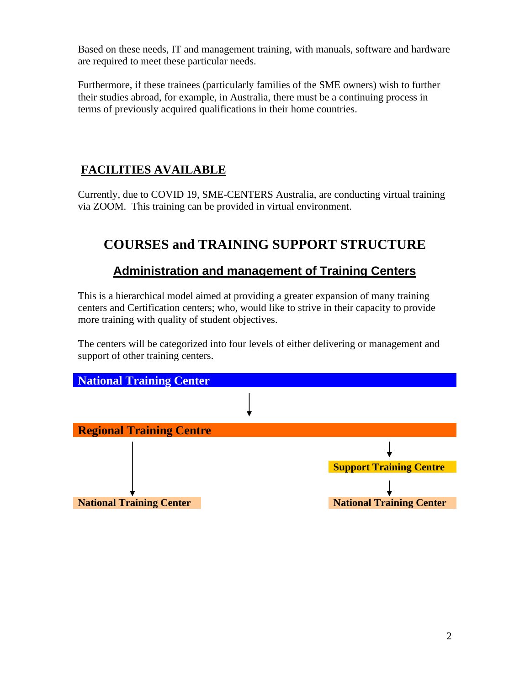Based on these needs, IT and management training, with manuals, software and hardware are required to meet these particular needs.

Furthermore, if these trainees (particularly families of the SME owners) wish to further their studies abroad, for example, in Australia, there must be a continuing process in terms of previously acquired qualifications in their home countries.

## **FACILITIES AVAILABLE**

Currently, due to COVID 19, SME-CENTERS Australia, are conducting virtual training via ZOOM. This training can be provided in virtual environment.

# **COURSES and TRAINING SUPPORT STRUCTURE**

## **Administration and management of Training Centers**

This is a hierarchical model aimed at providing a greater expansion of many training centers and Certification centers; who, would like to strive in their capacity to provide more training with quality of student objectives.

The centers will be categorized into four levels of either delivering or management and support of other training centers.

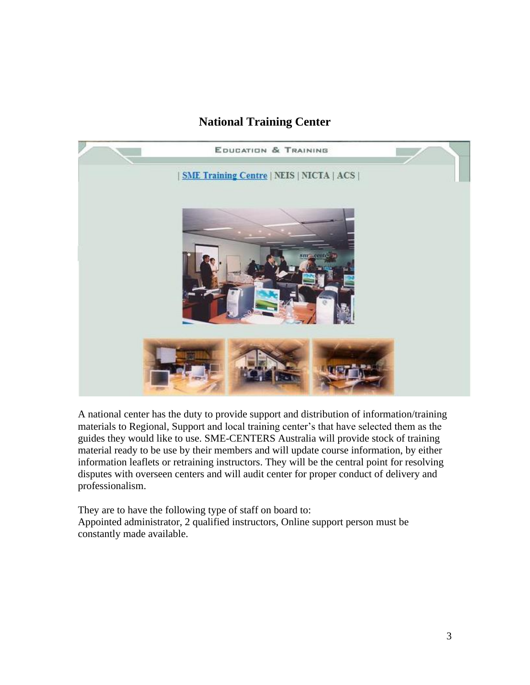## **National Training Center**



A national center has the duty to provide support and distribution of information/training materials to Regional, Support and local training center's that have selected them as the guides they would like to use. SME-CENTERS Australia will provide stock of training material ready to be use by their members and will update course information, by either information leaflets or retraining instructors. They will be the central point for resolving disputes with overseen centers and will audit center for proper conduct of delivery and professionalism.

They are to have the following type of staff on board to: Appointed administrator, 2 qualified instructors, Online support person must be constantly made available.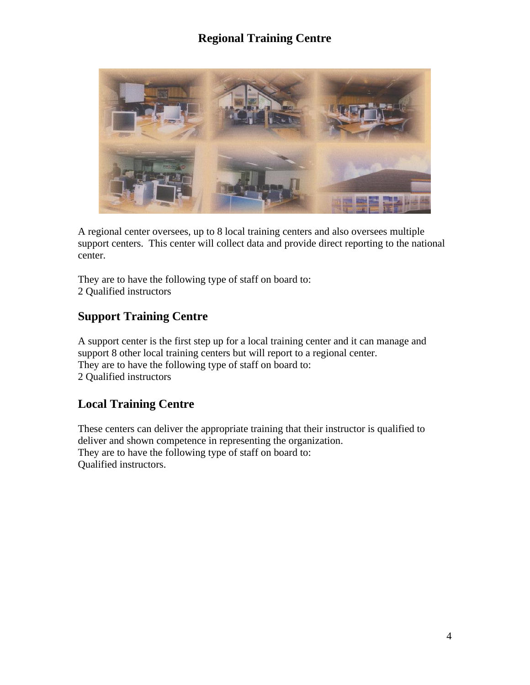## **Regional Training Centre**



A regional center oversees, up to 8 local training centers and also oversees multiple support centers. This center will collect data and provide direct reporting to the national center.

They are to have the following type of staff on board to: 2 Qualified instructors

### **Support Training Centre**

A support center is the first step up for a local training center and it can manage and support 8 other local training centers but will report to a regional center. They are to have the following type of staff on board to: 2 Qualified instructors

## **Local Training Centre**

These centers can deliver the appropriate training that their instructor is qualified to deliver and shown competence in representing the organization. They are to have the following type of staff on board to: Qualified instructors.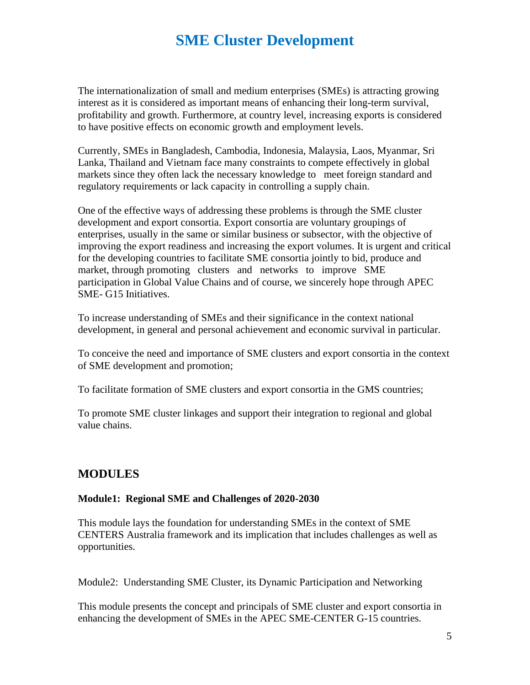# **SME Cluster Development**

The internationalization of small and medium enterprises (SMEs) is attracting growing interest as it is considered as important means of enhancing their long-term survival, profitability and growth. Furthermore, at country level, increasing exports is considered to have positive effects on economic growth and employment levels.

Currently, SMEs in Bangladesh, Cambodia, Indonesia, Malaysia, Laos, Myanmar, Sri Lanka, Thailand and Vietnam face many constraints to compete effectively in global markets since they often lack the necessary knowledge to meet foreign standard and regulatory requirements or lack capacity in controlling a supply chain.

One of the effective ways of addressing these problems is through the SME cluster development and export consortia. Export consortia are voluntary groupings of enterprises, usually in the same or similar business or subsector, with the objective of improving the export readiness and increasing the export volumes. It is urgent and critical for the developing countries to facilitate SME consortia jointly to bid, produce and market, through promoting clusters and networks to improve SME participation in Global Value Chains and of course, we sincerely hope through APEC SME- G15 Initiatives.

To increase understanding of SMEs and their significance in the context national development, in general and personal achievement and economic survival in particular.

To conceive the need and importance of SME clusters and export consortia in the context of SME development and promotion;

To facilitate formation of SME clusters and export consortia in the GMS countries;

To promote SME cluster linkages and support their integration to regional and global value chains.

### **MODULES**

#### **Module1: Regional SME and Challenges of 2020-2030**

This module lays the foundation for understanding SMEs in the context of SME CENTERS Australia framework and its implication that includes challenges as well as opportunities.

Module2: Understanding SME Cluster, its Dynamic Participation and Networking

This module presents the concept and principals of SME cluster and export consortia in enhancing the development of SMEs in the APEC SME-CENTER G-15 countries.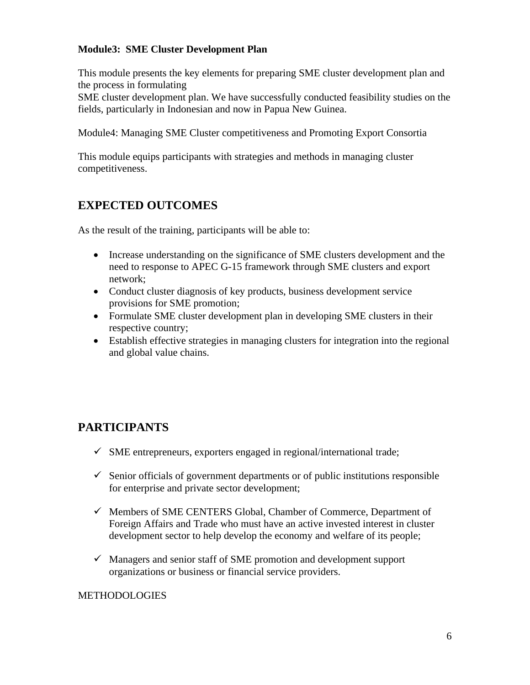#### **Module3: SME Cluster Development Plan**

This module presents the key elements for preparing SME cluster development plan and the process in formulating

SME cluster development plan. We have successfully conducted feasibility studies on the fields, particularly in Indonesian and now in Papua New Guinea.

Module4: Managing SME Cluster competitiveness and Promoting Export Consortia

This module equips participants with strategies and methods in managing cluster competitiveness.

## **EXPECTED OUTCOMES**

As the result of the training, participants will be able to:

- Increase understanding on the significance of SME clusters development and the need to response to APEC G-15 framework through SME clusters and export network;
- Conduct cluster diagnosis of key products, business development service provisions for SME promotion;
- Formulate SME cluster development plan in developing SME clusters in their respective country;
- Establish effective strategies in managing clusters for integration into the regional and global value chains.

# **PARTICIPANTS**

- $\checkmark$  SME entrepreneurs, exporters engaged in regional/international trade;
- $\checkmark$  Senior officials of government departments or of public institutions responsible for enterprise and private sector development;
- $\checkmark$  Members of SME CENTERS Global, Chamber of Commerce, Department of Foreign Affairs and Trade who must have an active invested interest in cluster development sector to help develop the economy and welfare of its people;
- $\checkmark$  Managers and senior staff of SME promotion and development support organizations or business or financial service providers.

### METHODOLOGIES